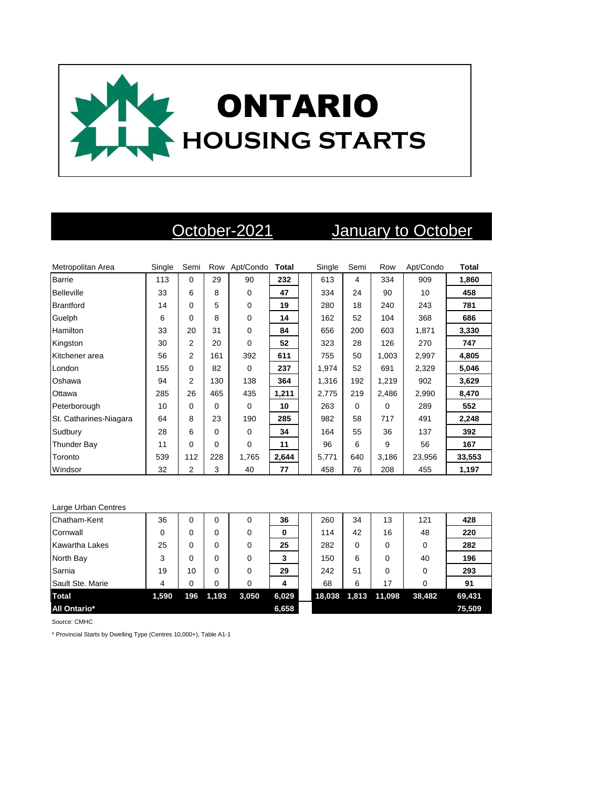

## October-2021 January to October

| Metropolitan Area      | Single | Semi           | Row      | Apt/Condo   | Total | Single | Semi | Row      | Apt/Condo | Total  |
|------------------------|--------|----------------|----------|-------------|-------|--------|------|----------|-----------|--------|
| <b>Barrie</b>          | 113    | $\Omega$       | 29       | 90          | 232   | 613    | 4    | 334      | 909       | 1,860  |
| Belleville             | 33     | 6              | 8        | $\Omega$    | 47    | 334    | 24   | 90       | 10        | 458    |
| <b>Brantford</b>       | 14     | $\Omega$       | 5        | $\mathbf 0$ | 19    | 280    | 18   | 240      | 243       | 781    |
| Guelph                 | 6      | 0              | 8        | $\Omega$    | 14    | 162    | 52   | 104      | 368       | 686    |
| Hamilton               | 33     | 20             | 31       | $\mathbf 0$ | 84    | 656    | 200  | 603      | 1,871     | 3,330  |
| Kingston               | 30     | $\overline{2}$ | 20       | $\Omega$    | 52    | 323    | 28   | 126      | 270       | 747    |
| Kitchener area         | 56     | 2              | 161      | 392         | 611   | 755    | 50   | 1,003    | 2,997     | 4,805  |
| London                 | 155    | $\Omega$       | 82       | $\Omega$    | 237   | 1,974  | 52   | 691      | 2,329     | 5,046  |
| Oshawa                 | 94     | $\overline{2}$ | 130      | 138         | 364   | 1,316  | 192  | 1,219    | 902       | 3,629  |
| Ottawa                 | 285    | 26             | 465      | 435         | 1,211 | 2,775  | 219  | 2,486    | 2,990     | 8,470  |
| Peterborough           | 10     | $\Omega$       | $\Omega$ | $\Omega$    | 10    | 263    | 0    | $\Omega$ | 289       | 552    |
| St. Catharines-Niagara | 64     | 8              | 23       | 190         | 285   | 982    | 58   | 717      | 491       | 2,248  |
| Sudbury                | 28     | 6              | $\Omega$ | $\Omega$    | 34    | 164    | 55   | 36       | 137       | 392    |
| Thunder Bay            | 11     | $\Omega$       | $\Omega$ | $\Omega$    | 11    | 96     | 6    | 9        | 56        | 167    |
| Toronto                | 539    | 112            | 228      | 1,765       | 2,644 | 5,771  | 640  | 3,186    | 23,956    | 33,553 |
| Windsor                | 32     | 2              | 3        | 40          | 77    | 458    | 76   | 208      | 455       | 1,197  |

| Large Urban Centres   |       |     |       |          |       |        |       |        |          |        |
|-----------------------|-------|-----|-------|----------|-------|--------|-------|--------|----------|--------|
| Chatham-Kent          | 36    | 0   | 0     | 0        | 36    | 260    | 34    | 13     | 121      | 428    |
| Cornwall              | 0     | 0   | 0     | 0        | 0     | 114    | 42    | 16     | 48       | 220    |
| <b>Kawartha Lakes</b> | 25    | 0   | 0     | $\Omega$ | 25    | 282    | 0     | 0      | 0        | 282    |
| North Bay             | 3     | 0   | 0     | $\Omega$ | 3     | 150    | 6     | 0      | 40       | 196    |
| Sarnia                | 19    | 10  | 0     | $\Omega$ | 29    | 242    | 51    | 0      | $\Omega$ | 293    |
| Sault Ste. Marie      | 4     | 0   | 0     | 0        | 4     | 68     | 6     | 17     | 0        | 91     |
| <b>Total</b>          | 1,590 | 196 | 1,193 | 3,050    | 6,029 | 18,038 | 1,813 | 11,098 | 38,482   | 69,431 |
| <b>All Ontario*</b>   |       |     |       |          | 6,658 |        |       |        |          | 75,509 |

Source: CMHC

\* Provincial Starts by Dwelling Type (Centres 10,000+), Table A1-1